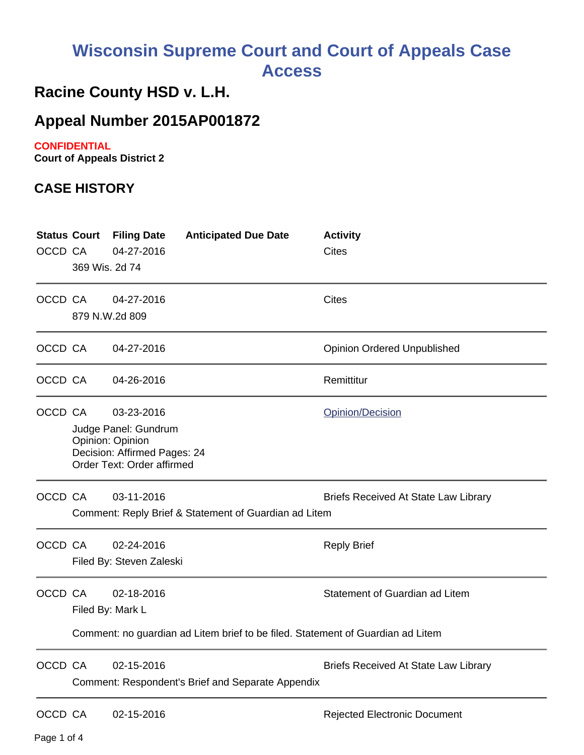# **Wisconsin Supreme Court and Court of Appeals Case Access**

## **Racine County HSD v. L.H.**

### **Appeal Number 2015AP001872**

#### **CONFIDENTIAL**

**Court of Appeals District 2**

#### **CASE HISTORY**

| <b>Status Court</b><br>OCCD CA | 369 Wis. 2d 74                                                                                                                                      | <b>Filing Date</b><br>04-27-2016       | <b>Anticipated Due Date</b> | <b>Activity</b><br><b>Cites</b>     |
|--------------------------------|-----------------------------------------------------------------------------------------------------------------------------------------------------|----------------------------------------|-----------------------------|-------------------------------------|
| OCCD CA                        |                                                                                                                                                     | 04-27-2016<br>879 N.W.2d 809           |                             | <b>Cites</b>                        |
| OCCD CA                        |                                                                                                                                                     | 04-27-2016                             |                             | <b>Opinion Ordered Unpublished</b>  |
| OCCD CA                        |                                                                                                                                                     | 04-26-2016                             |                             | Remittitur                          |
| OCCD CA                        | 03-23-2016<br>Opinion/Decision<br>Judge Panel: Gundrum<br>Opinion: Opinion<br>Decision: Affirmed Pages: 24<br>Order Text: Order affirmed            |                                        |                             |                                     |
| OCCD CA                        | 03-11-2016<br><b>Briefs Received At State Law Library</b><br>Comment: Reply Brief & Statement of Guardian ad Litem                                  |                                        |                             |                                     |
| OCCD CA                        |                                                                                                                                                     | 02-24-2016<br>Filed By: Steven Zaleski |                             | <b>Reply Brief</b>                  |
| OCCD CA                        | Statement of Guardian ad Litem<br>02-18-2016<br>Filed By: Mark L<br>Comment: no guardian ad Litem brief to be filed. Statement of Guardian ad Litem |                                        |                             |                                     |
| OCCD CA                        | 02-15-2016<br><b>Briefs Received At State Law Library</b><br>Comment: Respondent's Brief and Separate Appendix                                      |                                        |                             |                                     |
| OCCD CA                        |                                                                                                                                                     | 02-15-2016                             |                             | <b>Rejected Electronic Document</b> |

Page 1 of 4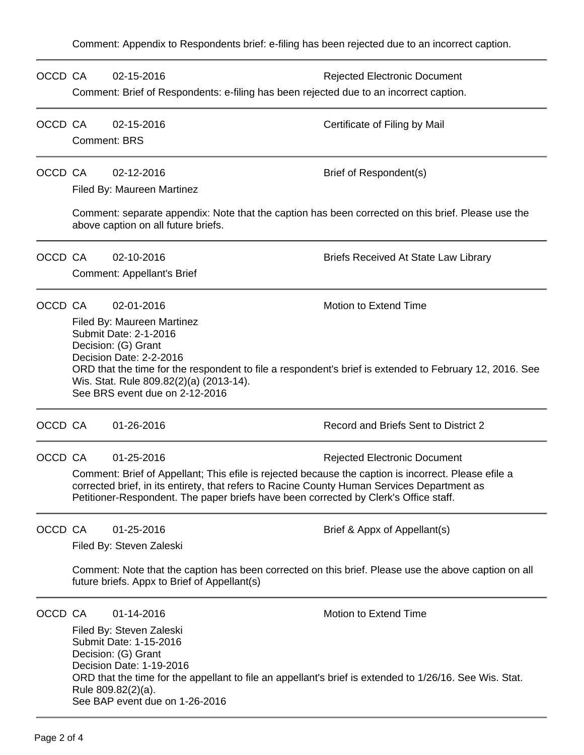Comment: Appendix to Respondents brief: e-filing has been rejected due to an incorrect caption.

| OCCD CA |                                                                                                                                                                                                                                                                                                                                                  | 02-15-2016<br>Comment: Brief of Respondents: e-filing has been rejected due to an incorrect caption.                | <b>Rejected Electronic Document</b>                                                                                              |  |  |
|---------|--------------------------------------------------------------------------------------------------------------------------------------------------------------------------------------------------------------------------------------------------------------------------------------------------------------------------------------------------|---------------------------------------------------------------------------------------------------------------------|----------------------------------------------------------------------------------------------------------------------------------|--|--|
| OCCD CA |                                                                                                                                                                                                                                                                                                                                                  | 02-15-2016<br><b>Comment: BRS</b>                                                                                   | Certificate of Filing by Mail                                                                                                    |  |  |
| OCCD CA |                                                                                                                                                                                                                                                                                                                                                  | 02-12-2016<br>Filed By: Maureen Martinez                                                                            | Brief of Respondent(s)                                                                                                           |  |  |
|         | Comment: separate appendix: Note that the caption has been corrected on this brief. Please use the<br>above caption on all future briefs.                                                                                                                                                                                                        |                                                                                                                     |                                                                                                                                  |  |  |
| OCCD CA |                                                                                                                                                                                                                                                                                                                                                  | 02-10-2016<br><b>Comment: Appellant's Brief</b>                                                                     | <b>Briefs Received At State Law Library</b>                                                                                      |  |  |
| OCCD CA | 02-01-2016<br>Motion to Extend Time<br>Filed By: Maureen Martinez<br>Submit Date: 2-1-2016<br>Decision: (G) Grant<br>Decision Date: 2-2-2016<br>ORD that the time for the respondent to file a respondent's brief is extended to February 12, 2016. See<br>Wis. Stat. Rule 809.82(2)(a) (2013-14).<br>See BRS event due on 2-12-2016             |                                                                                                                     |                                                                                                                                  |  |  |
| OCCD CA |                                                                                                                                                                                                                                                                                                                                                  | 01-26-2016                                                                                                          | Record and Briefs Sent to District 2                                                                                             |  |  |
| OCCD CA | 01-25-2016<br><b>Rejected Electronic Document</b><br>Comment: Brief of Appellant; This efile is rejected because the caption is incorrect. Please efile a<br>corrected brief, in its entirety, that refers to Racine County Human Services Department as<br>Petitioner-Respondent. The paper briefs have been corrected by Clerk's Office staff. |                                                                                                                     |                                                                                                                                  |  |  |
| OCCD CA | 01-25-2016<br>Brief & Appx of Appellant(s)<br>Filed By: Steven Zaleski<br>Comment: Note that the caption has been corrected on this brief. Please use the above caption on all<br>future briefs. Appx to Brief of Appellant(s)                                                                                                                   |                                                                                                                     |                                                                                                                                  |  |  |
| OCCD CA |                                                                                                                                                                                                                                                                                                                                                  | 01-14-2016<br>Filed By: Steven Zaleski<br>Submit Date: 1-15-2016<br>Decision: (G) Grant<br>Decision Date: 1-19-2016 | Motion to Extend Time<br>ORD that the time for the appellant to file an appellant's brief is extended to 1/26/16. See Wis. Stat. |  |  |

Rule 809.82(2)(a). See BAP event due on 1-26-2016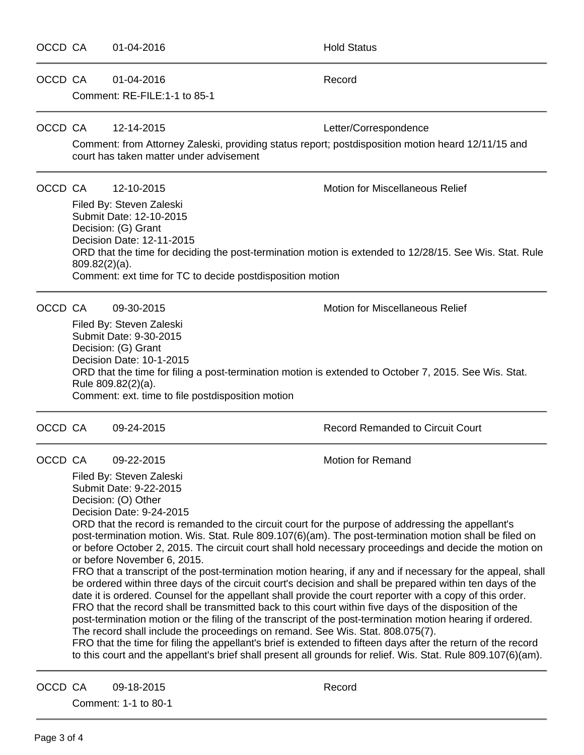| OCCD CA |                                                                                                                                                                                                                                                                                                                                                                                                                                                                                                                                                                                                                                                                                                                                                                                                                                                                                                                                                                                                                                                                                                                                                                                                                                                                                                                                                                                               | 01-04-2016                                            | <b>Hold Status</b>                                                                                                          |  |
|---------|-----------------------------------------------------------------------------------------------------------------------------------------------------------------------------------------------------------------------------------------------------------------------------------------------------------------------------------------------------------------------------------------------------------------------------------------------------------------------------------------------------------------------------------------------------------------------------------------------------------------------------------------------------------------------------------------------------------------------------------------------------------------------------------------------------------------------------------------------------------------------------------------------------------------------------------------------------------------------------------------------------------------------------------------------------------------------------------------------------------------------------------------------------------------------------------------------------------------------------------------------------------------------------------------------------------------------------------------------------------------------------------------------|-------------------------------------------------------|-----------------------------------------------------------------------------------------------------------------------------|--|
| OCCD CA |                                                                                                                                                                                                                                                                                                                                                                                                                                                                                                                                                                                                                                                                                                                                                                                                                                                                                                                                                                                                                                                                                                                                                                                                                                                                                                                                                                                               | 01-04-2016<br>Comment: RE-FILE:1-1 to 85-1            | Record                                                                                                                      |  |
| OCCD CA |                                                                                                                                                                                                                                                                                                                                                                                                                                                                                                                                                                                                                                                                                                                                                                                                                                                                                                                                                                                                                                                                                                                                                                                                                                                                                                                                                                                               | 12-14-2015<br>court has taken matter under advisement | Letter/Correspondence<br>Comment: from Attorney Zaleski, providing status report; postdisposition motion heard 12/11/15 and |  |
|         | OCCD CA<br>12-10-2015<br><b>Motion for Miscellaneous Relief</b><br>Filed By: Steven Zaleski<br>Submit Date: 12-10-2015<br>Decision: (G) Grant<br>Decision Date: 12-11-2015<br>ORD that the time for deciding the post-termination motion is extended to 12/28/15. See Wis. Stat. Rule<br>$809.82(2)(a)$ .<br>Comment: ext time for TC to decide postdisposition motion                                                                                                                                                                                                                                                                                                                                                                                                                                                                                                                                                                                                                                                                                                                                                                                                                                                                                                                                                                                                                        |                                                       |                                                                                                                             |  |
| OCCD CA | <b>Motion for Miscellaneous Relief</b><br>09-30-2015<br>Filed By: Steven Zaleski<br>Submit Date: 9-30-2015<br>Decision: (G) Grant<br>Decision Date: 10-1-2015<br>ORD that the time for filing a post-termination motion is extended to October 7, 2015. See Wis. Stat.<br>Rule 809.82(2)(a).<br>Comment: ext. time to file postdisposition motion                                                                                                                                                                                                                                                                                                                                                                                                                                                                                                                                                                                                                                                                                                                                                                                                                                                                                                                                                                                                                                             |                                                       |                                                                                                                             |  |
| OCCD CA |                                                                                                                                                                                                                                                                                                                                                                                                                                                                                                                                                                                                                                                                                                                                                                                                                                                                                                                                                                                                                                                                                                                                                                                                                                                                                                                                                                                               | 09-24-2015                                            | <b>Record Remanded to Circuit Court</b>                                                                                     |  |
| OCCD CA | 09-22-2015<br><b>Motion for Remand</b><br>Filed By: Steven Zaleski<br>Submit Date: 9-22-2015<br>Decision: (O) Other<br>Decision Date: 9-24-2015<br>ORD that the record is remanded to the circuit court for the purpose of addressing the appellant's<br>post-termination motion. Wis. Stat. Rule 809.107(6)(am). The post-termination motion shall be filed on<br>or before October 2, 2015. The circuit court shall hold necessary proceedings and decide the motion on<br>or before November 6, 2015.<br>FRO that a transcript of the post-termination motion hearing, if any and if necessary for the appeal, shall<br>be ordered within three days of the circuit court's decision and shall be prepared within ten days of the<br>date it is ordered. Counsel for the appellant shall provide the court reporter with a copy of this order.<br>FRO that the record shall be transmitted back to this court within five days of the disposition of the<br>post-termination motion or the filing of the transcript of the post-termination motion hearing if ordered.<br>The record shall include the proceedings on remand. See Wis. Stat. 808.075(7).<br>FRO that the time for filing the appellant's brief is extended to fifteen days after the return of the record<br>to this court and the appellant's brief shall present all grounds for relief. Wis. Stat. Rule 809.107(6)(am). |                                                       |                                                                                                                             |  |
| OCCD CA |                                                                                                                                                                                                                                                                                                                                                                                                                                                                                                                                                                                                                                                                                                                                                                                                                                                                                                                                                                                                                                                                                                                                                                                                                                                                                                                                                                                               | 09-18-2015<br>Comment: 1-1 to 80-1                    | Record                                                                                                                      |  |